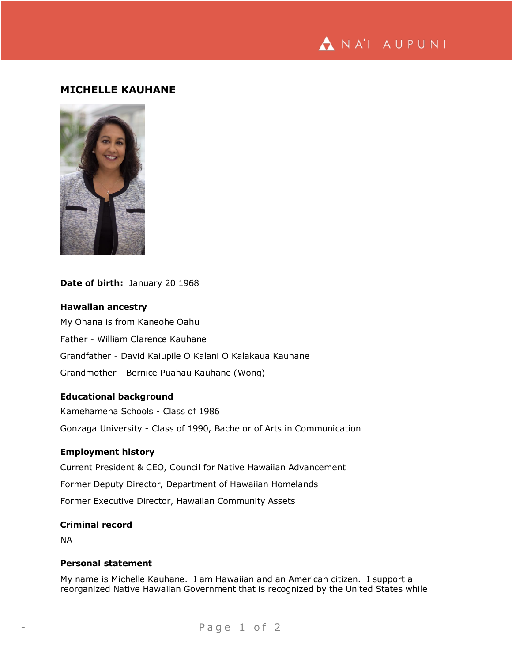NA'I AUPUNI

## **MICHELLE KAUHANE**



**Date of birth:** January 20 1968

**Hawaiian ancestry** My Ohana is from Kaneohe Oahu Father - William Clarence Kauhane Grandfather - David Kaiupile O Kalani O Kalakaua Kauhane Grandmother - Bernice Puahau Kauhane (Wong)

### **Educational background**

Kamehameha Schools - Class of 1986 Gonzaga University - Class of 1990, Bachelor of Arts in Communication

#### **Employment history**

Current President & CEO, Council for Native Hawaiian Advancement Former Deputy Director, Department of Hawaiian Homelands Former Executive Director, Hawaiian Community Assets

# **Criminal record**

NA

#### **Personal statement**

My name is Michelle Kauhane. I am Hawaiian and an American citizen. I support a reorganized Native Hawaiian Government that is recognized by the United States while